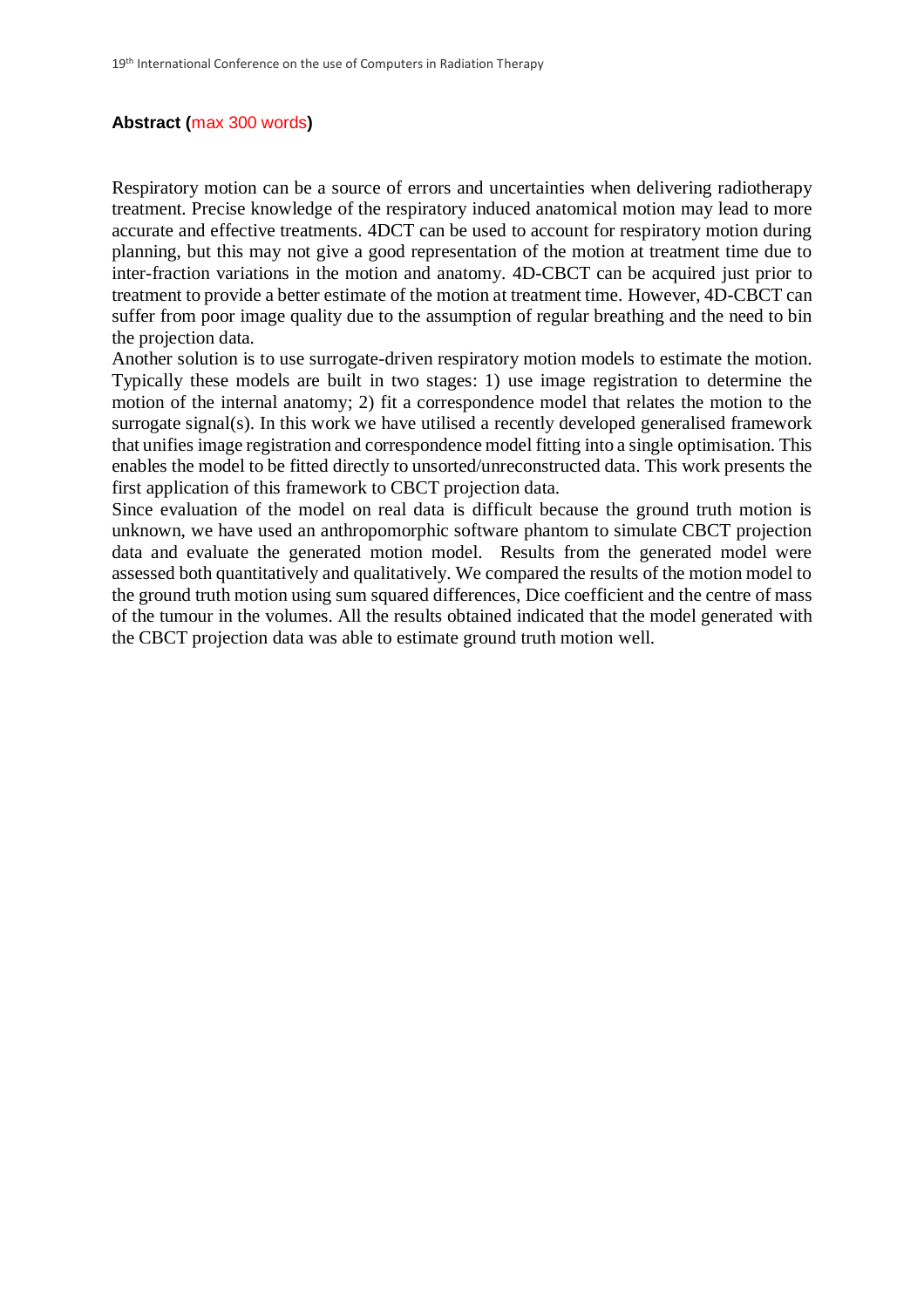# **Abstract (**max 300 words**)**

Respiratory motion can be a source of errors and uncertainties when delivering radiotherapy treatment. Precise knowledge of the respiratory induced anatomical motion may lead to more accurate and effective treatments. 4DCT can be used to account for respiratory motion during planning, but this may not give a good representation of the motion at treatment time due to inter-fraction variations in the motion and anatomy. 4D-CBCT can be acquired just prior to treatment to provide a better estimate of the motion at treatment time. However, 4D-CBCT can suffer from poor image quality due to the assumption of regular breathing and the need to bin the projection data.

Another solution is to use surrogate-driven respiratory motion models to estimate the motion. Typically these models are built in two stages: 1) use image registration to determine the motion of the internal anatomy; 2) fit a correspondence model that relates the motion to the surrogate signal(s). In this work we have utilised a recently developed generalised framework that unifies image registration and correspondence model fitting into a single optimisation. This enables the model to be fitted directly to unsorted/unreconstructed data. This work presents the first application of this framework to CBCT projection data.

Since evaluation of the model on real data is difficult because the ground truth motion is unknown, we have used an anthropomorphic software phantom to simulate CBCT projection data and evaluate the generated motion model. Results from the generated model were assessed both quantitatively and qualitatively. We compared the results of the motion model to the ground truth motion using sum squared differences, Dice coefficient and the centre of mass of the tumour in the volumes. All the results obtained indicated that the model generated with the CBCT projection data was able to estimate ground truth motion well.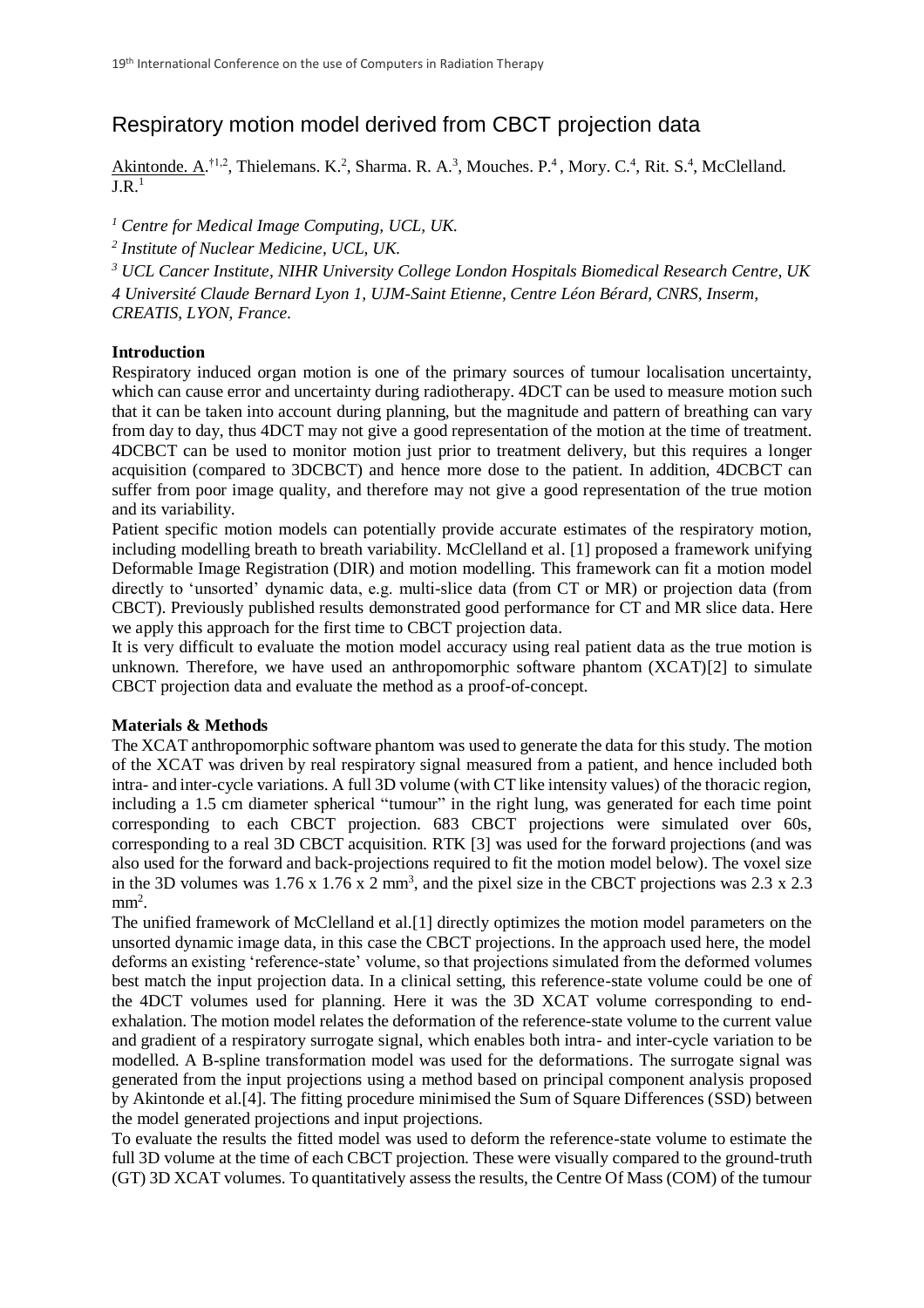# Respiratory motion model derived from CBCT projection data

Akintonde. A.<sup>†1,2</sup>, Thielemans. K.<sup>2</sup>, Sharma. R. A.<sup>3</sup>, Mouches. P.<sup>4</sup>, Mory. C.<sup>4</sup>, Rit. S.<sup>4</sup>, McClelland.  $\overline{IR^1}$ 

*<sup>1</sup> Centre for Medical Image Computing, UCL, UK.*

*2 Institute of Nuclear Medicine, UCL, UK.*

*<sup>3</sup> UCL Cancer Institute, NIHR University College London Hospitals Biomedical Research Centre, UK 4 Université Claude Bernard Lyon 1, UJM-Saint Etienne, Centre Léon Bérard, CNRS, Inserm, CREATIS, LYON, France.*

## **Introduction**

Respiratory induced organ motion is one of the primary sources of tumour localisation uncertainty, which can cause error and uncertainty during radiotherapy.  $4DCT$  can be used to measure motion such that it can be taken into account during planning, but the magnitude and pattern of breathing can vary from day to day, thus 4DCT may not give a good representation of the motion at the time of treatment. 4DCBCT can be used to monitor motion just prior to treatment delivery, but this requires a longer acquisition (compared to 3DCBCT) and hence more dose to the patient. In addition, 4DCBCT can suffer from poor image quality, and therefore may not give a good representation of the true motion and its variability.

Patient specific motion models can potentially provide accurate estimates of the respiratory motion, including modelling breath to breath variability. McClelland et al. [1] proposed a framework unifying Deformable Image Registration (DIR) and motion modelling. This framework can fit a motion model directly to 'unsorted' dynamic data, e.g. multi-slice data (from CT or MR) or projection data (from CBCT). Previously published results demonstrated good performance for CT and MR slice data. Here we apply this approach for the first time to CBCT projection data.

It is very difficult to evaluate the motion model accuracy using real patient data as the true motion is unknown. Therefore, we have used an anthropomorphic software phantom (XCAT)[2] to simulate CBCT projection data and evaluate the method as a proof-of-concept.

## **Materials & Methods**

The XCAT anthropomorphic software phantom was used to generate the data for this study. The motion of the XCAT was driven by real respiratory signal measured from a patient, and hence included both intra- and inter-cycle variations. A full 3D volume (with CT like intensity values) of the thoracic region, including a 1.5 cm diameter spherical "tumour" in the right lung, was generated for each time point corresponding to each CBCT projection. 683 CBCT projections were simulated over 60s, corresponding to a real 3D CBCT acquisition. RTK [3] was used for the forward projections (and was also used for the forward and back-projections required to fit the motion model below). The voxel size in the 3D volumes was  $1.76 \times 1.76 \times 2$  mm<sup>3</sup>, and the pixel size in the CBCT projections was  $2.3 \times 2.3$  $mm<sup>2</sup>$ .

The unified framework of McClelland et al.[1] directly optimizes the motion model parameters on the unsorted dynamic image data, in this case the CBCT projections. In the approach used here, the model deforms an existing 'reference-state' volume, so that projections simulated from the deformed volumes best match the input projection data. In a clinical setting, this reference-state volume could be one of the 4DCT volumes used for planning. Here it was the 3D XCAT volume corresponding to endexhalation. The motion model relates the deformation of the reference-state volume to the current value and gradient of a respiratory surrogate signal, which enables both intra- and inter-cycle variation to be modelled. A B-spline transformation model was used for the deformations. The surrogate signal was generated from the input projections using a method based on principal component analysis proposed by Akintonde et al.[4]. The fitting procedure minimised the Sum of Square Differences (SSD) between the model generated projections and input projections.

To evaluate the results the fitted model was used to deform the reference-state volume to estimate the full 3D volume at the time of each CBCT projection. These were visually compared to the ground-truth (GT) 3D XCAT volumes. To quantitatively assess the results, the Centre Of Mass (COM) of the tumour